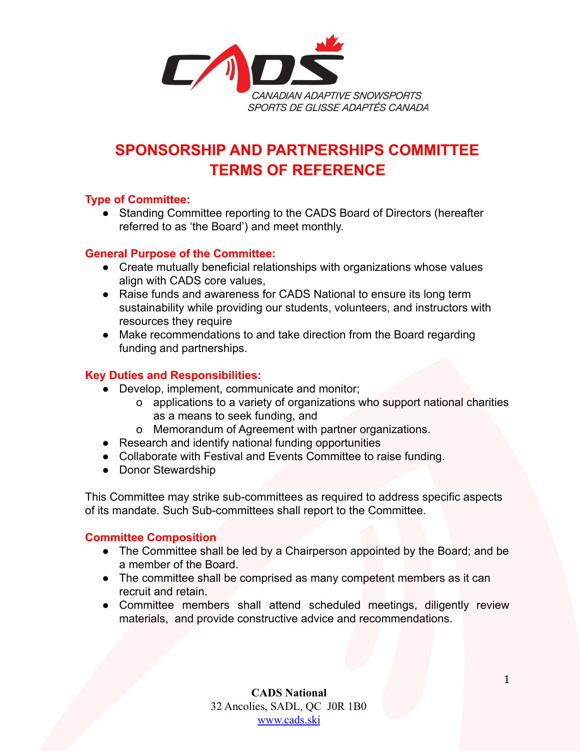

# **SPONSORSHIP AND PARTNERSHIPS COMMITTEE TERMS OF REFERENCE**

# **Type of Committee:**

● Standing Committee reporting to the CADS Board of Directors (hereafter referred to as 'the Board') and meet monthly.

### **General Purpose of the Committee:**

- Create mutually beneficial relationships with organizations whose values align with CADS core values,
- Raise funds and awareness for CADS National to ensure its long term sustainability while providing our students, volunteers, and instructors with resources they require
- Make recommendations to and take direction from the Board regarding funding and partnerships.

## **Key Duties and Responsibilities:**

- Develop, implement, communicate and monitor;
	- o applications to a variety of organizations who support national charities as a means to seek funding, and
	- o Memorandum of Agreement with partner organizations.
- Research and identify national funding opportunities
- Collaborate with Festival and Events Committee to raise funding.
- Donor Stewardship

This Committee may strike sub-committees as required to address specific aspects of its mandate. Such Sub-committees shall report to the Committee.

#### **Committee Composition**

- The Committee shall be led by a Chairperson appointed by the Board; and be a member of the Board.
- The committee shall be comprised as many competent members as it can recruit and retain.
- Committee members shall attend scheduled meetings, diligently review materials, and provide constructive advice and recommendations.